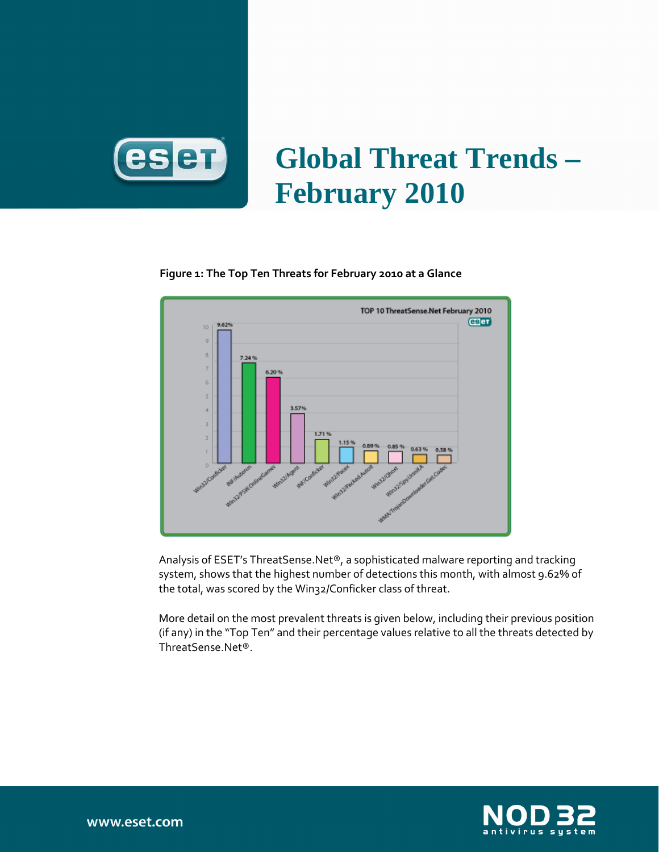

# **Global Threat Trends – February 2010**

## TOP 10 ThreatSense.Net February 2010 **CBET** 9.62%  $10<sup>1</sup>$ of Stecholas Camera ant Museum **American Assembly** Walk Confliction Monthly

#### Figure 1: The Top Ten Threats for February 2010 at a Glance

Analysis of ESET's ThreatSense.Net®, a sophisticated malware reporting and tracking system, shows that the highest number of detections this month, with almost 9.62% of the total, was scored by the Win32/Conficker class of threat.

More detail on the most prevalent threats is given below, including their previous position (if any) in the "Top Ten" and their percentage values relative to all the threats detected by ThreatSense.Net®.

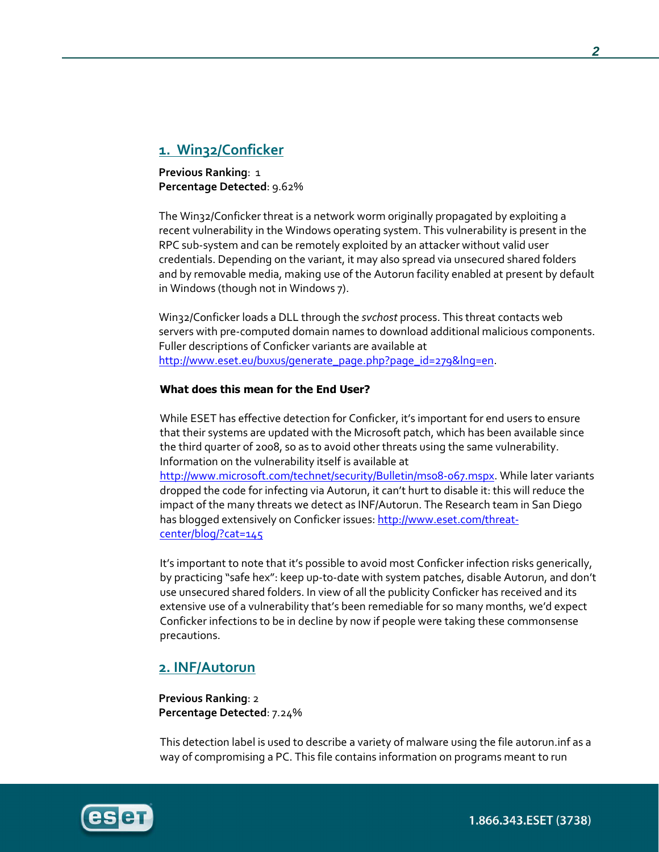## 1. Win32/Conficker

Previous Ranking: 1 Percentage Detected: 9.62%

The Win32/Conficker threat is a network worm originally propagated by exploiting a recent vulnerability in the Windows operating system. This vulnerability is present in the RPC sub-system and can be remotely exploited by an attacker without valid user credentials. Depending on the variant, it may also spread via unsecured shared folders and by removable media, making use of the Autorun facility enabled at present by default in Windows (though not in Windows 7).

Win32/Conficker loads a DLL through the svchost process. This threat contacts web servers with pre-computed domain names to download additional malicious components. Fuller descriptions of Conficker variants are available at http://www.eset.eu/buxus/generate\_page.php?page\_id=279&lng=en.

#### What does this mean for the End User?

While ESET has effective detection for Conficker, it's important for end users to ensure that their systems are updated with the Microsoft patch, which has been available since the third quarter of 2008, so as to avoid other threats using the same vulnerability. Information on the vulnerability itself is available at

http://www.microsoft.com/technet/security/Bulletin/ms08-067.mspx. While later variants dropped the code for infecting via Autorun, it can't hurt to disable it: this will reduce the impact of the many threats we detect as INF/Autorun. The Research team in San Diego has blogged extensively on Conficker issues: http://www.eset.com/threatcenter/blog/?cat=145

It's important to note that it's possible to avoid most Conficker infection risks generically, by practicing "safe hex": keep up-to-date with system patches, disable Autorun, and don't use unsecured shared folders. In view of all the publicity Conficker has received and its extensive use of a vulnerability that's been remediable for so many months, we'd expect Conficker infections to be in decline by now if people were taking these commonsense precautions.

## 2. INF/Autorun

Previous Ranking: 2 Percentage Detected: 7.24%

This detection label is used to describe a variety of malware using the file autorun.inf as a way of compromising a PC. This file contains information on programs meant to run



1.866.343.ESET (3738)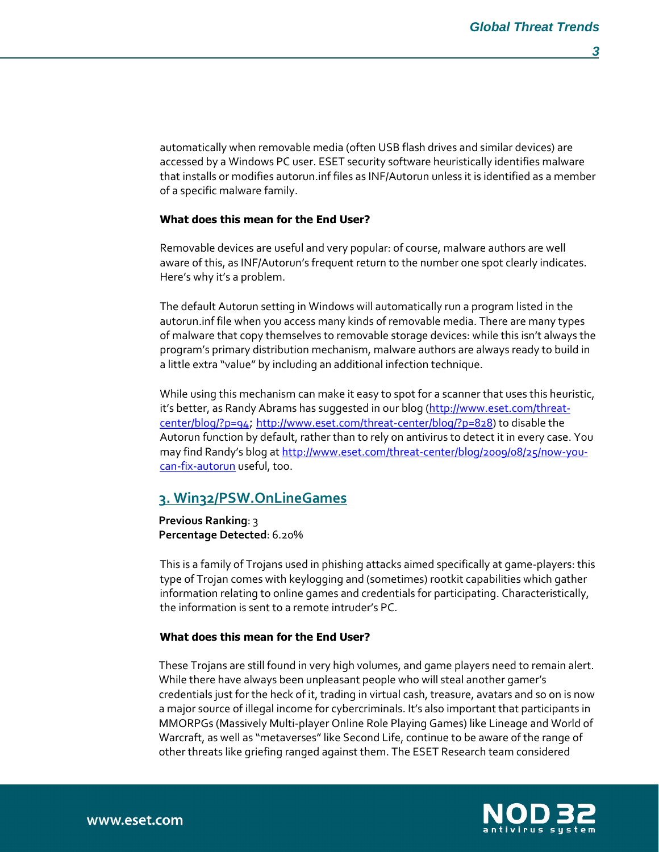automatically when removable media (often USB flash drives and similar devices) are accessed by a Windows PC user. ESET security software heuristically identifies malware that installs or modifies autorun.inf files as INF/Autorun unless it is identified as a member of a specific malware family.

#### What does this mean for the End User?

Removable devices are useful and very popular: of course, malware authors are well aware of this, as INF/Autorun's frequent return to the number one spot clearly indicates. Here's why it's a problem.

The default Autorun setting in Windows will automatically run a program listed in the autorun.inf file when you access many kinds of removable media. There are many types of malware that copy themselves to removable storage devices: while this isn't always the program's primary distribution mechanism, malware authors are always ready to build in a little extra "value" by including an additional infection technique.

While using this mechanism can make it easy to spot for a scanner that uses this heuristic, it's better, as Randy Abrams has suggested in our blog (http://www.eset.com/threatcenter/blog/?p=94; http://www.eset.com/threat-center/blog/?p=828) to disable the Autorun function by default, rather than to rely on antivirus to detect it in every case. You may find Randy's blog at http://www.eset.com/threat-center/blog/2009/08/25/now-youcan-fix-autorun useful, too.

#### 3. Win32/PSW.OnLineGames

Previous Ranking: 3 Percentage Detected: 6.20%

This is a family of Trojans used in phishing attacks aimed specifically at game-players: this type of Trojan comes with keylogging and (sometimes) rootkit capabilities which gather information relating to online games and credentials for participating. Characteristically, the information is sent to a remote intruder's PC.

#### What does this mean for the End User?

These Trojans are still found in very high volumes, and game players need to remain alert. While there have always been unpleasant people who will steal another gamer's credentials just for the heck of it, trading in virtual cash, treasure, avatars and so on is now a major source of illegal income for cybercriminals. It's also important that participants in MMORPGs (Massively Multi-player Online Role Playing Games) like Lineage and World of Warcraft, as well as "metaverses" like Second Life, continue to be aware of the range of other threats like griefing ranged against them. The ESET Research team considered

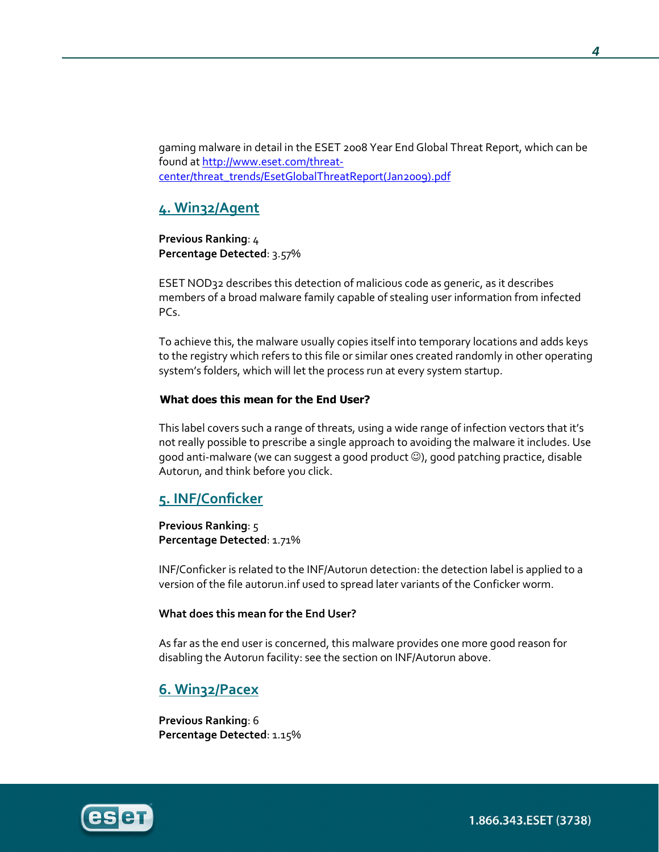gaming malware in detail in the ESET 2008 Year End Global Threat Report, which can be found at http://www.eset.com/threatcenter/threat\_trends/EsetGlobalThreatReport(Jan2009).pdf

## 4. Win32/Agent

Previous Ranking: 4 Percentage Detected: 3.57%

ESET NOD32 describes this detection of malicious code as generic, as it describes members of a broad malware family capable of stealing user information from infected PCs.

To achieve this, the malware usually copies itself into temporary locations and adds keys to the registry which refers to this file or similar ones created randomly in other operating system's folders, which will let the process run at every system startup.

#### What does this mean for the End User?

This label covers such a range of threats, using a wide range of infection vectors that it's not really possible to prescribe a single approach to avoiding the malware it includes. Use good anti-malware (we can suggest a good product ☺), good patching practice, disable Autorun, and think before you click.

## 5. INF/Conficker

Previous Ranking: 5 Percentage Detected: 1.71%

INF/Conficker is related to the INF/Autorun detection: the detection label is applied to a version of the file autorun.inf used to spread later variants of the Conficker worm.

#### What does this mean for the End User?

As far as the end user is concerned, this malware provides one more good reason for disabling the Autorun facility: see the section on INF/Autorun above.

## 6. Win32/Pacex

Previous Ranking: 6 Percentage Detected: 1.15%

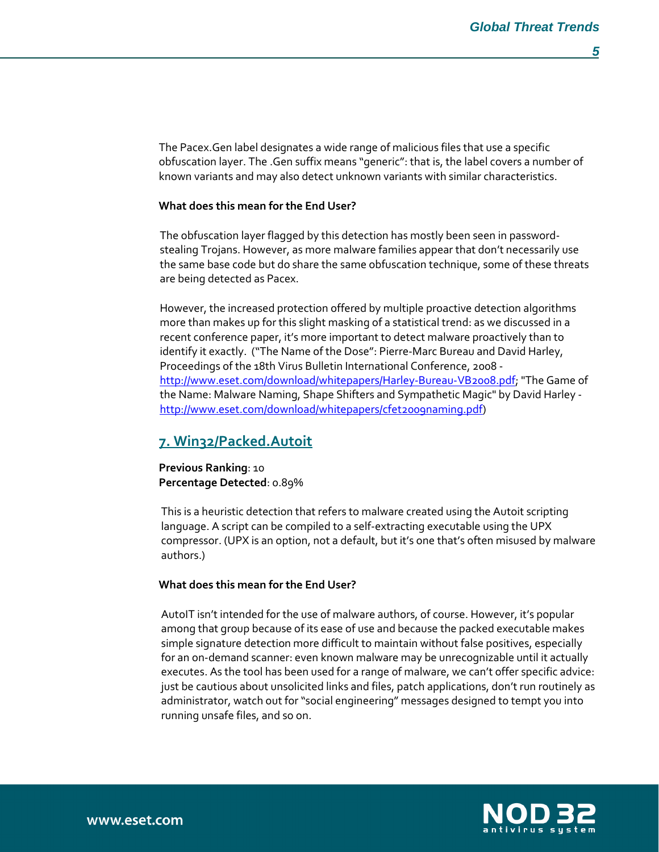The Pacex.Gen label designates a wide range of malicious files that use a specific obfuscation layer. The .Gen suffix means "generic": that is, the label covers a number of known variants and may also detect unknown variants with similar characteristics.

#### What does this mean for the End User?

The obfuscation layer flagged by this detection has mostly been seen in passwordstealing Trojans. However, as more malware families appear that don't necessarily use the same base code but do share the same obfuscation technique, some of these threats are being detected as Pacex.

However, the increased protection offered by multiple proactive detection algorithms more than makes up for this slight masking of a statistical trend: as we discussed in a recent conference paper, it's more important to detect malware proactively than to identify it exactly. ("The Name of the Dose": Pierre-Marc Bureau and David Harley, Proceedings of the 18th Virus Bulletin International Conference, 2008 http://www.eset.com/download/whitepapers/Harley-Bureau-VB2008.pdf; "The Game of the Name: Malware Naming, Shape Shifters and Sympathetic Magic" by David Harley http://www.eset.com/download/whitepapers/cfet2009naming.pdf)

#### 7. Win32/Packed.Autoit

Previous Ranking: 10 Percentage Detected: 0.89%

This is a heuristic detection that refers to malware created using the Autoit scripting language. A script can be compiled to a self-extracting executable using the UPX compressor. (UPX is an option, not a default, but it's one that's often misused by malware authors.)

#### What does this mean for the End User?

AutoIT isn't intended for the use of malware authors, of course. However, it's popular among that group because of its ease of use and because the packed executable makes simple signature detection more difficult to maintain without false positives, especially for an on-demand scanner: even known malware may be unrecognizable until it actually executes. As the tool has been used for a range of malware, we can't offer specific advice: just be cautious about unsolicited links and files, patch applications, don't run routinely as administrator, watch out for "social engineering" messages designed to tempt you into running unsafe files, and so on.

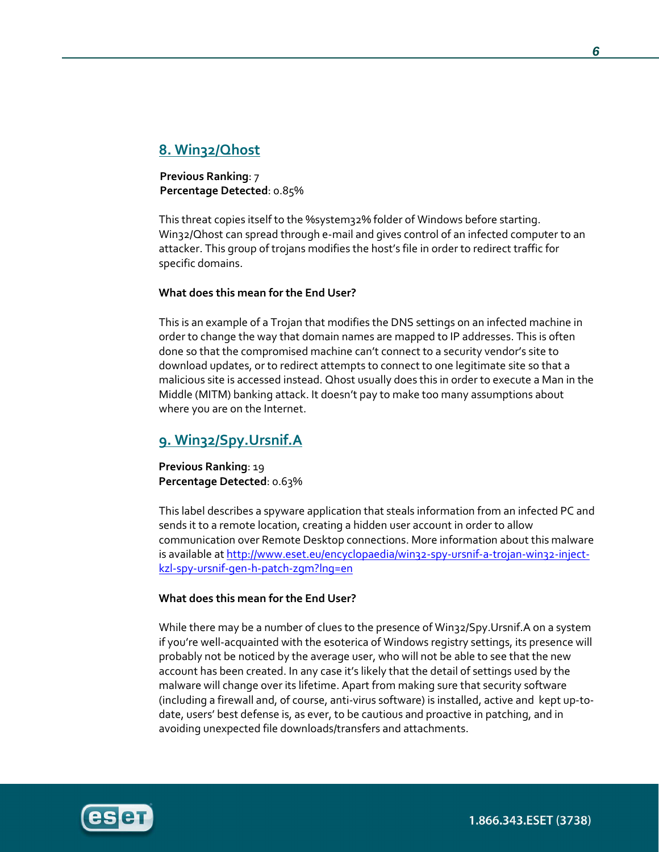## 8. Win32/Qhost

Previous Ranking: 7 Percentage Detected: 0.85%

This threat copies itself to the %system32% folder of Windows before starting. Win32/Qhost can spread through e-mail and gives control of an infected computer to an attacker. This group of trojans modifies the host's file in order to redirect traffic for specific domains.

#### What does this mean for the End User?

This is an example of a Trojan that modifies the DNS settings on an infected machine in order to change the way that domain names are mapped to IP addresses. This is often done so that the compromised machine can't connect to a security vendor's site to download updates, or to redirect attempts to connect to one legitimate site so that a malicious site is accessed instead. Qhost usually does this in order to execute a Man in the Middle (MITM) banking attack. It doesn't pay to make too many assumptions about where you are on the Internet.

## 9. Win32/Spy.Ursnif.A

Previous Ranking: 19 Percentage Detected: 0.63%

This label describes a spyware application that steals information from an infected PC and sends it to a remote location, creating a hidden user account in order to allow communication over Remote Desktop connections. More information about this malware is available at http://www.eset.eu/encyclopaedia/win32-spy-ursnif-a-trojan-win32-injectkzl-spy-ursnif-gen-h-patch-zgm?lng=en

#### What does this mean for the End User?

While there may be a number of clues to the presence of Win32/Spy.Ursnif.A on a system if you're well-acquainted with the esoterica of Windows registry settings, its presence will probably not be noticed by the average user, who will not be able to see that the new account has been created. In any case it's likely that the detail of settings used by the malware will change over its lifetime. Apart from making sure that security software (including a firewall and, of course, anti-virus software) is installed, active and kept up-todate, users' best defense is, as ever, to be cautious and proactive in patching, and in avoiding unexpected file downloads/transfers and attachments.



1.866.343.ESET (3738)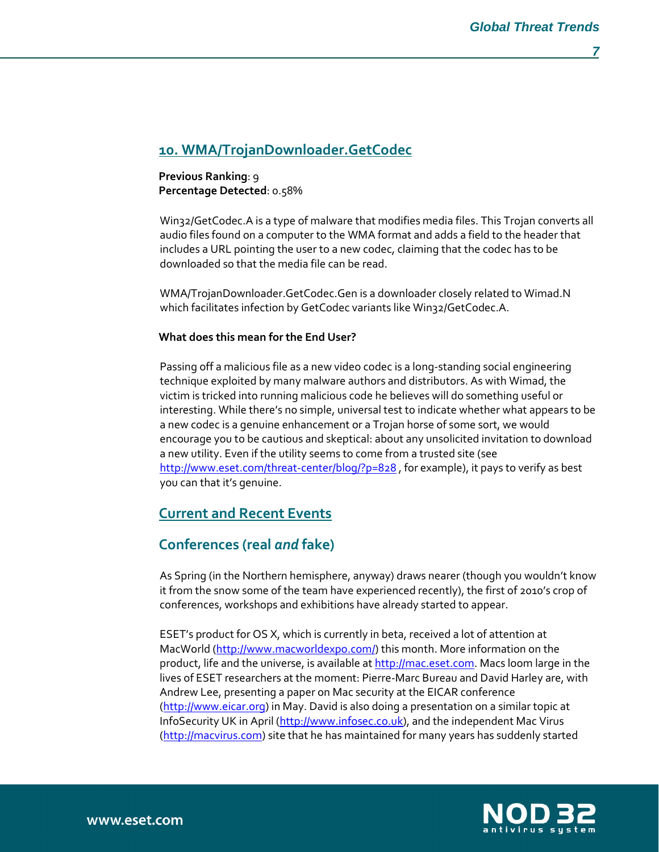## 10. WMA/TrojanDownloader.GetCodec

Previous Ranking: 9 Percentage Detected: 0.58%

Win32/GetCodec.A is a type of malware that modifies media files. This Trojan converts all audio files found on a computer to the WMA format and adds a field to the header that includes a URL pointing the user to a new codec, claiming that the codec has to be downloaded so that the media file can be read.

WMA/TrojanDownloader.GetCodec.Gen is a downloader closely related to Wimad.N which facilitates infection by GetCodec variants like Win32/GetCodec.A.

#### What does this mean for the End User?

Passing off a malicious file as a new video codec is a long-standing social engineering technique exploited by many malware authors and distributors. As with Wimad, the victim is tricked into running malicious code he believes will do something useful or interesting. While there's no simple, universal test to indicate whether what appears to be a new codec is a genuine enhancement or a Trojan horse of some sort, we would encourage you to be cautious and skeptical: about any unsolicited invitation to download a new utility. Even if the utility seems to come from a trusted site (see http://www.eset.com/threat-center/blog/?p=828, for example), it pays to verify as best you can that it's genuine.

## Current and Recent Events

## Conferences (real and fake)

As Spring (in the Northern hemisphere, anyway) draws nearer (though you wouldn't know it from the snow some of the team have experienced recently), the first of 2010's crop of conferences, workshops and exhibitions have already started to appear.

ESET's product for OS X, which is currently in beta, received a lot of attention at MacWorld (http://www.macworldexpo.com/) this month. More information on the product, life and the universe, is available at http://mac.eset.com. Macs loom large in the lives of ESET researchers at the moment: Pierre-Marc Bureau and David Harley are, with Andrew Lee, presenting a paper on Mac security at the EICAR conference (http://www.eicar.org) in May. David is also doing a presentation on a similar topic at InfoSecurity UK in April (http://www.infosec.co.uk), and the independent Mac Virus (http://macvirus.com) site that he has maintained for many years has suddenly started

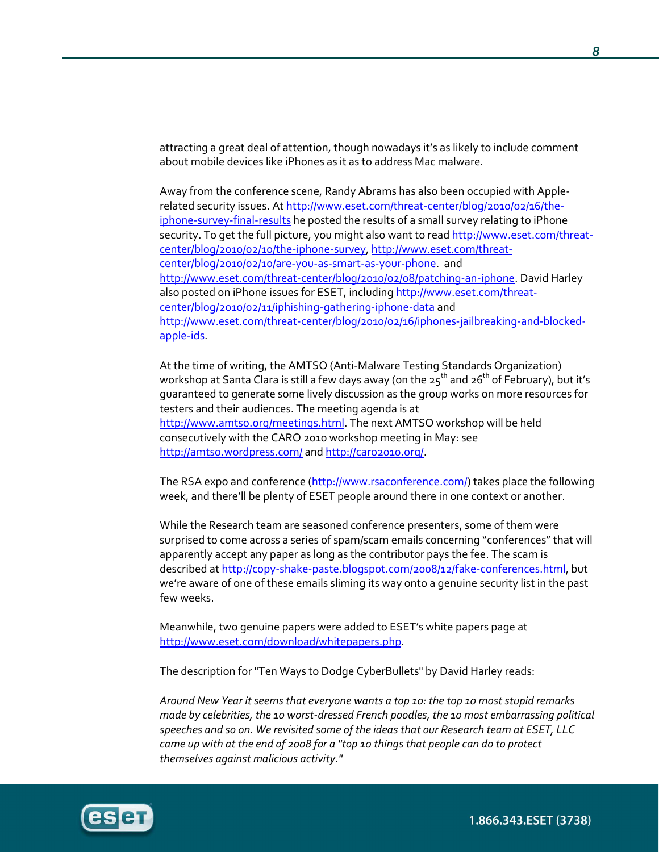attracting a great deal of attention, though nowadays it's as likely to include comment about mobile devices like iPhones as it as to address Mac malware.

Away from the conference scene, Randy Abrams has also been occupied with Applerelated security issues. At http://www.eset.com/threat-center/blog/2010/02/16/theiphone-survey-final-results he posted the results of a small survey relating to iPhone security. To get the full picture, you might also want to read http://www.eset.com/threatcenter/blog/2010/02/10/the-iphone-survey, http://www.eset.com/threatcenter/blog/2010/02/10/are-you-as-smart-as-your-phone. and http://www.eset.com/threat-center/blog/2010/02/08/patching-an-iphone. David Harley also posted on iPhone issues for ESET, including http://www.eset.com/threatcenter/blog/2010/02/11/iphishing-gathering-iphone-data and http://www.eset.com/threat-center/blog/2010/02/16/iphones-jailbreaking-and-blockedapple-ids.

At the time of writing, the AMTSO (Anti-Malware Testing Standards Organization) workshop at Santa Clara is still a few days away (on the  $25^{th}$  and  $26^{th}$  of February), but it's guaranteed to generate some lively discussion as the group works on more resources for testers and their audiences. The meeting agenda is at http://www.amtso.org/meetings.html. The next AMTSO workshop will be held consecutively with the CARO 2010 workshop meeting in May: see http://amtso.wordpress.com/ and http://caro2010.org/.

The RSA expo and conference (http://www.rsaconference.com/) takes place the following week, and there'll be plenty of ESET people around there in one context or another.

While the Research team are seasoned conference presenters, some of them were surprised to come across a series of spam/scam emails concerning "conferences" that will apparently accept any paper as long as the contributor pays the fee. The scam is described at http://copy-shake-paste.blogspot.com/2008/12/fake-conferences.html, but we're aware of one of these emails sliming its way onto a genuine security list in the past few weeks.

Meanwhile, two genuine papers were added to ESET's white papers page at http://www.eset.com/download/whitepapers.php.

The description for "Ten Ways to Dodge CyberBullets" by David Harley reads:

Around New Year it seems that everyone wants a top 10: the top 10 most stupid remarks made by celebrities, the 10 worst-dressed French poodles, the 10 most embarrassing political speeches and so on. We revisited some of the ideas that our Research team at ESET, LLC came up with at the end of 2008 for a "top 10 things that people can do to protect themselves against malicious activity."

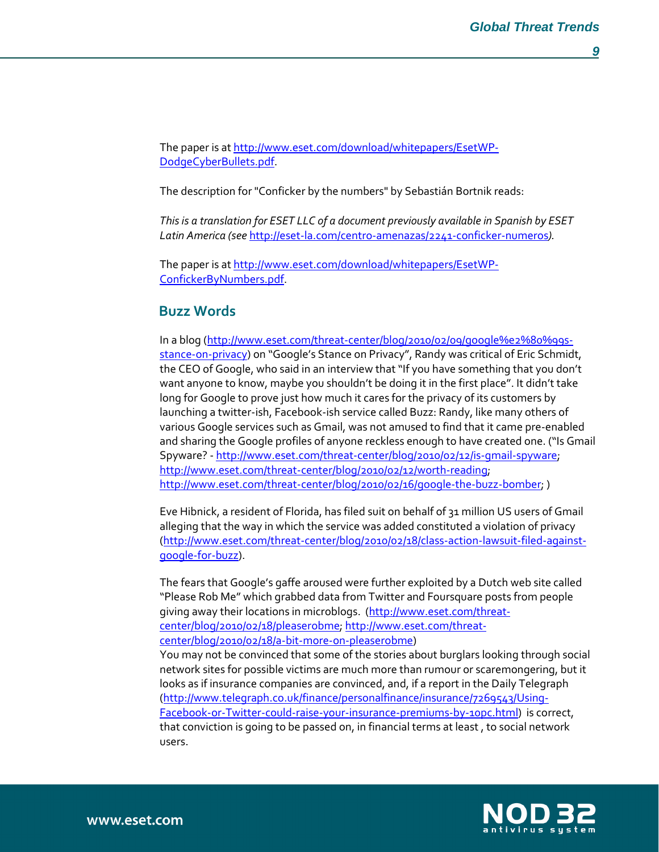The paper is at http://www.eset.com/download/whitepapers/EsetWP-DodgeCyberBullets.pdf.

The description for "Conficker by the numbers" by Sebastián Bortnik reads:

This is a translation for ESET LLC of a document previously available in Spanish by ESET Latin America (see http://eset-la.com/centro-amenazas/2241-conficker-numeros).

The paper is at http://www.eset.com/download/whitepapers/EsetWP-ConfickerByNumbers.pdf.

## Buzz Words

In a blog (http://www.eset.com/threat-center/blog/2010/02/09/google%e2%80%99sstance-on-privacy) on "Google's Stance on Privacy", Randy was critical of Eric Schmidt, the CEO of Google, who said in an interview that "If you have something that you don't want anyone to know, maybe you shouldn't be doing it in the first place". It didn't take long for Google to prove just how much it cares for the privacy of its customers by launching a twitter-ish, Facebook-ish service called Buzz: Randy, like many others of various Google services such as Gmail, was not amused to find that it came pre-enabled and sharing the Google profiles of anyone reckless enough to have created one. ("Is Gmail Spyware? - http://www.eset.com/threat-center/blog/2010/02/12/is-gmail-spyware; http://www.eset.com/threat-center/blog/2010/02/12/worth-reading; http://www.eset.com/threat-center/blog/2010/02/16/google-the-buzz-bomber; )

Eve Hibnick, a resident of Florida, has filed suit on behalf of 31 million US users of Gmail alleging that the way in which the service was added constituted a violation of privacy (http://www.eset.com/threat-center/blog/2010/02/18/class-action-lawsuit-filed-againstgoogle-for-buzz).

The fears that Google's gaffe aroused were further exploited by a Dutch web site called "Please Rob Me" which grabbed data from Twitter and Foursquare posts from people giving away their locations in microblogs. (http://www.eset.com/threatcenter/blog/2010/02/18/pleaserobme; http://www.eset.com/threatcenter/blog/2010/02/18/a-bit-more-on-pleaserobme)

You may not be convinced that some of the stories about burglars looking through social network sites for possible victims are much more than rumour or scaremongering, but it looks as if insurance companies are convinced, and, if a report in the Daily Telegraph (http://www.telegraph.co.uk/finance/personalfinance/insurance/7269543/Using-Facebook-or-Twitter-could-raise-your-insurance-premiums-by-10pc.html) is correct, that conviction is going to be passed on, in financial terms at least , to social network users.

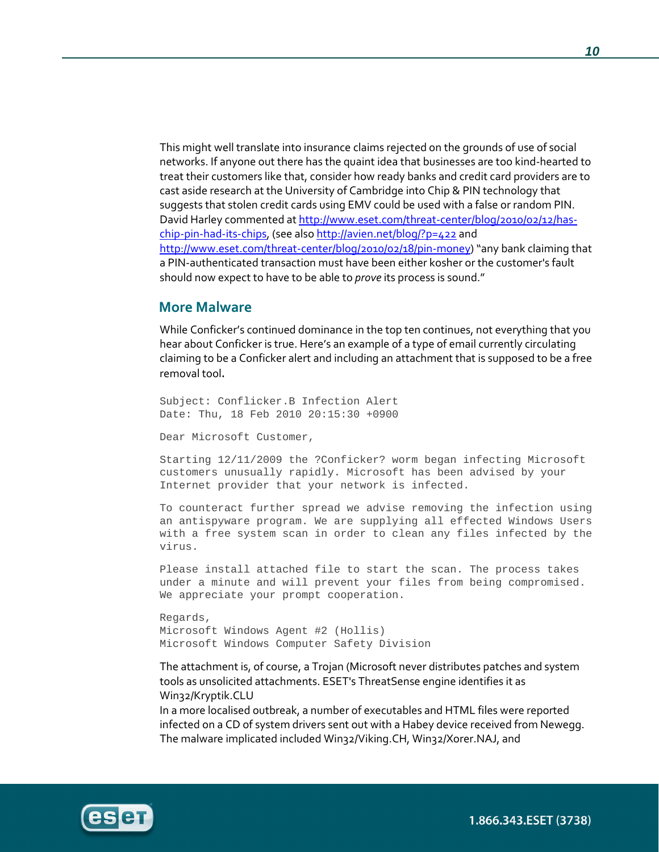This might well translate into insurance claims rejected on the grounds of use of social networks. If anyone out there has the quaint idea that businesses are too kind-hearted to treat their customers like that, consider how ready banks and credit card providers are to cast aside research at the University of Cambridge into Chip & PIN technology that suggests that stolen credit cards using EMV could be used with a false or random PIN. David Harley commented at http://www.eset.com/threat-center/blog/2010/02/12/haschip-pin-had-its-chips, (see also http://avien.net/blog/?p=422 and http://www.eset.com/threat-center/blog/2010/02/18/pin-money) "any bank claiming that a PIN-authenticated transaction must have been either kosher or the customer's fault should now expect to have to be able to *prove* its process is sound."

#### More Malware

While Conficker's continued dominance in the top ten continues, not everything that you hear about Conficker is true. Here's an example of a type of email currently circulating claiming to be a Conficker alert and including an attachment that is supposed to be a free removal tool.

Subject: Conflicker.B Infection Alert Date: Thu, 18 Feb 2010 20:15:30 +0900

Dear Microsoft Customer,

Starting 12/11/2009 the ?Conficker? worm began infecting Microsoft customers unusually rapidly. Microsoft has been advised by your Internet provider that your network is infected.

To counteract further spread we advise removing the infection using an antispyware program. We are supplying all effected Windows Users with a free system scan in order to clean any files infected by the virus.

Please install attached file to start the scan. The process takes under a minute and will prevent your files from being compromised. We appreciate your prompt cooperation.

Regards, Microsoft Windows Agent #2 (Hollis) Microsoft Windows Computer Safety Division

The attachment is, of course, a Trojan (Microsoft never distributes patches and system tools as unsolicited attachments. ESET's ThreatSense engine identifies it as Win32/Kryptik.CLU

In a more localised outbreak, a number of executables and HTML files were reported infected on a CD of system drivers sent out with a Habey device received from Newegg. The malware implicated included Win32/Viking.CH, Win32/Xorer.NAJ, and



1.866.343.ESET (3738)